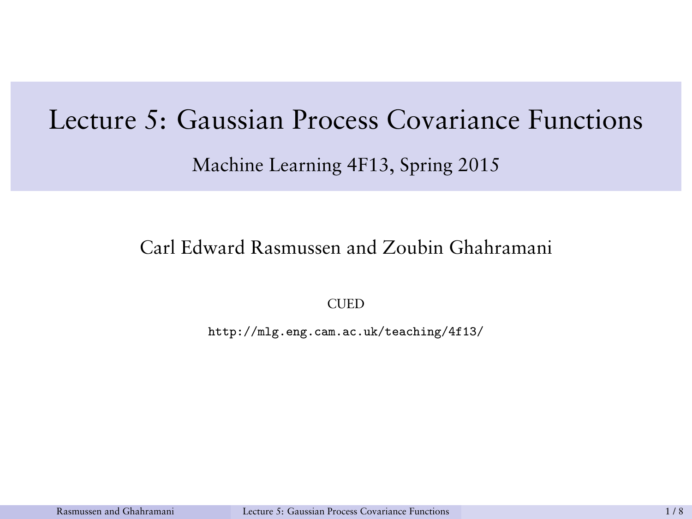# <span id="page-0-0"></span>Lecture 5: Gaussian Process Covariance Functions

#### Machine Learning 4F13, Spring 2015

### Carl Edward Rasmussen and Zoubin Ghahramani

**CUED** 

http://mlg.eng.cam.ac.uk/teaching/4f13/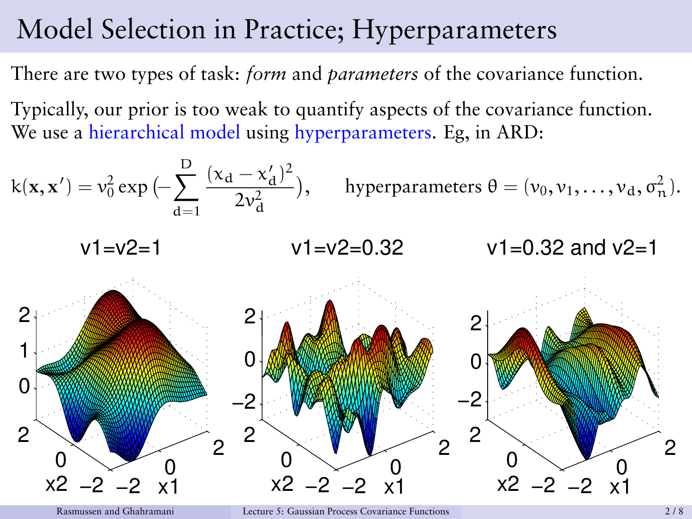# Model Selection in Practice; Hyperparameters

There are two types of task: *form* and *parameters* of the covariance function.

Typically, our prior is too weak to quantify aspects of the covariance function. We use a hierarchical model using hyperparameters. Eg, in ARD:

k(**x**, **x** 0 ) = v 2 0 exp − X D d=1 (x<sup>d</sup> − x 0 d ) 2 2v 2 d , hyperparameters θ = (v0, v1, . . . , vd, σ 2 <sup>n</sup>). −2 0 2 −2 0 2 0 1 2 x1 v1=v2=1 x2 −2 0 2 −2 0 2 −2 0 2 x1 v1=v2=0.32 x2 −2 0 2 −2 0 2 −2 0 2 x1 v1=0.32 and v2=1 x2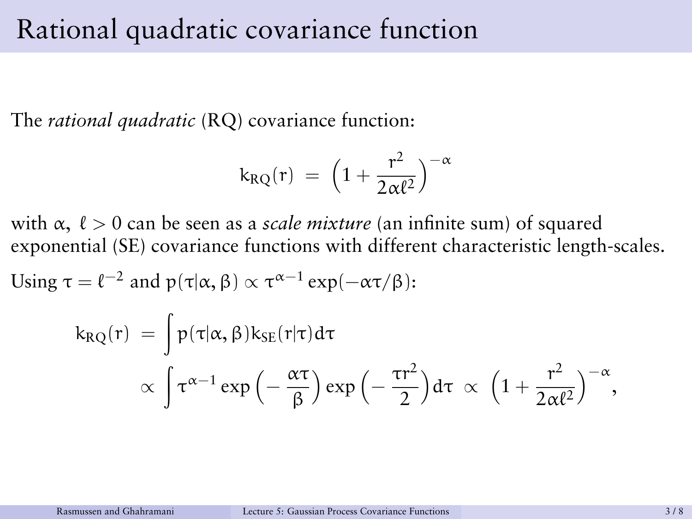### Rational quadratic covariance function

The *rational quadratic* (RQ) covariance function:

$$
k_{RQ}(r)\ =\ \left(1+\frac{r^2}{2\alpha\ell^2}\right)^{-\alpha}
$$

with  $\alpha$ ,  $\ell > 0$  can be seen as a *scale mixture* (an infinite sum) of squared exponential (SE) covariance functions with different characteristic length-scales.

Using 
$$
\tau = \ell^{-2}
$$
 and  $p(\tau|\alpha, \beta) \propto \tau^{\alpha - 1} \exp(-\alpha \tau/\beta)$ :

$$
\begin{array}{ll} k_{RQ}(r) & = \displaystyle \int p(\tau|\alpha,\beta)k_{SE}(r|\tau)d\tau \\ & \propto \displaystyle \int \tau^{\alpha-1}\exp\left(-\frac{\alpha\tau}{\beta}\right)\exp\left(-\frac{\tau r^2}{2}\right)d\tau \,\propto \,\,\left(1+\frac{r^2}{2\alpha\ell^2}\right)^{-\alpha}, \end{array}
$$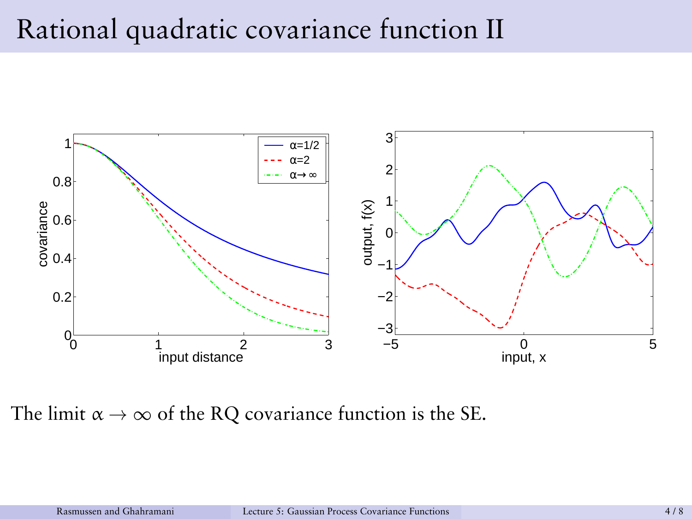# Rational quadratic covariance function II



The limit  $\alpha \to \infty$  of the RQ covariance function is the SE.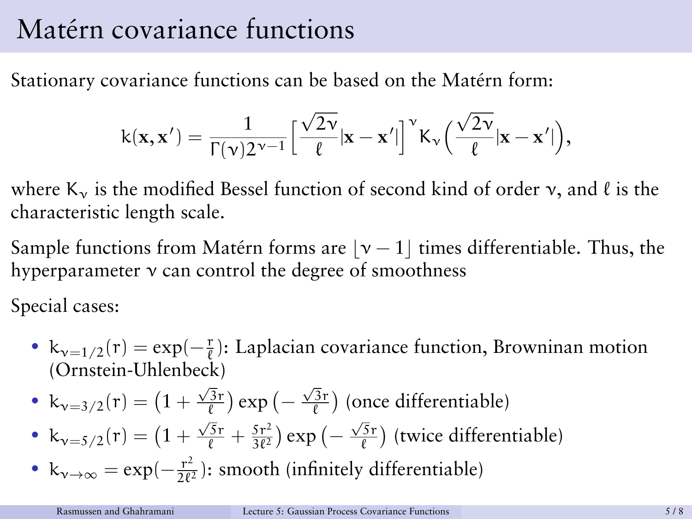# Matérn covariance functions

Stationary covariance functions can be based on the Matérn form:

$$
k(\mathbf{x}, \mathbf{x}') = \frac{1}{\Gamma(\nu)2^{\nu-1}} \Big[ \frac{\sqrt{2\nu}}{\ell} |\mathbf{x} - \mathbf{x}'| \Big]^{\nu} K_{\nu} \Big( \frac{\sqrt{2\nu}}{\ell} |\mathbf{x} - \mathbf{x}'| \Big),
$$

where  $K_v$  is the modified Bessel function of second kind of order  $v$ , and  $\ell$  is the characteristic length scale.

Sample functions from Matérn forms are  $|v - 1|$  times differentiable. Thus, the hyperparameter ν can control the degree of smoothness

Special cases:

•  $k_{v=1/2}(r) = \exp(-\frac{r}{\ell})$ : Laplacian covariance function, Browninan motion (Ornstein-Uhlenbeck)

• 
$$
k_{v=3/2}(r) = (1 + \frac{\sqrt{3}r}{\ell}) \exp(-\frac{\sqrt{3}r}{\ell})
$$
 (once differentiable)

- $k_{v=5/2}(r) = \left(1 + \frac{\sqrt{5}r}{\ell} + \frac{5r^2}{3\ell^2}\right)$  $\frac{(5r^2)}{3\ell^2}$ ) exp  $\left(-\frac{\sqrt{5}r}{\ell}\right)$  (twice differentiable)
- $k_{\nu \to \infty} = \exp(-\frac{r^2}{2\ell})$  $\frac{r^2}{2\ell^2}$ ): smooth (infinitely differentiable)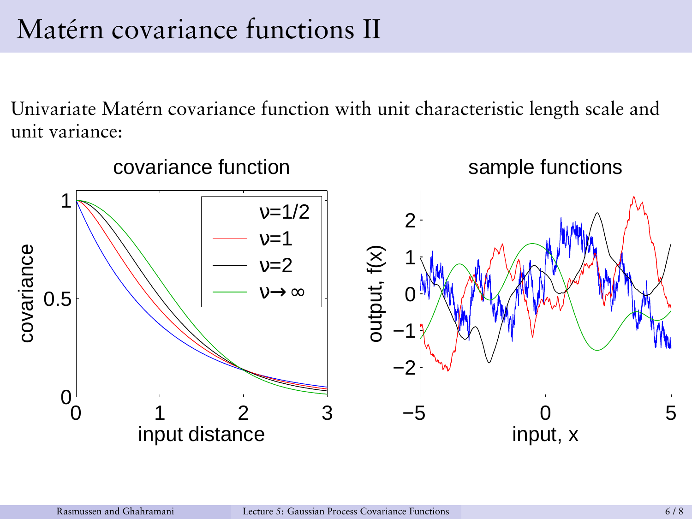# Matérn covariance functions II

Univariate Matérn covariance function with unit characteristic length scale and unit variance:

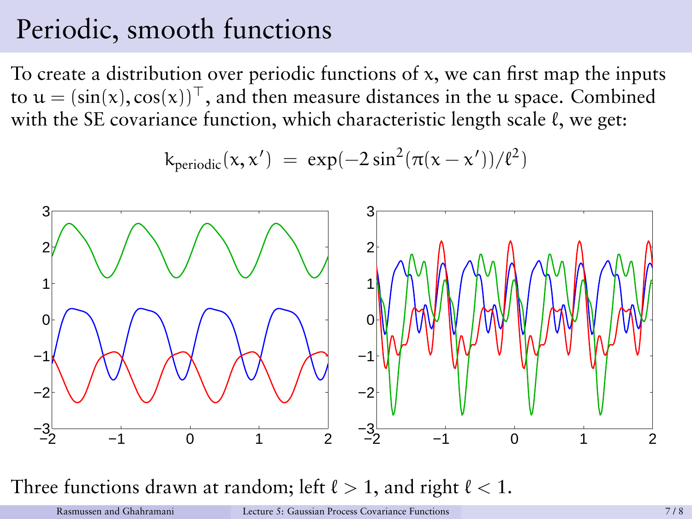# Periodic, smooth functions

To create a distribution over periodic functions of  $x$ , we can first map the inputs to  $u = (\sin(x), \cos(x))^{\top}$ , and then measure distances in the u space. Combined with the SE covariance function, which characteristic length scale  $\ell$ , we get:

$$
k_{periodic}(x, x') = exp(-2 sin^{2}(\pi(x - x'))/\ell^{2})
$$

$$
k_{periodic}(x,x')~=~\text{exp}(-2\sin^2(\pi(x-x'))/\ell^2)
$$

Three functions drawn at random; left  $\ell > 1$ , and right  $\ell < 1$ .